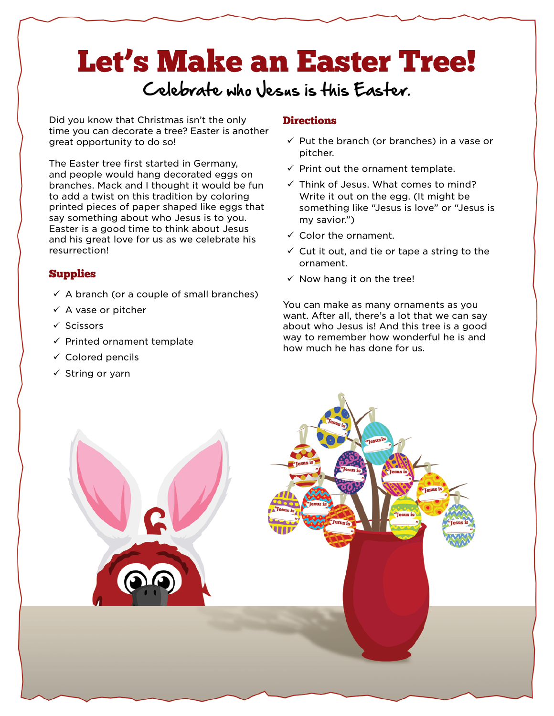## Let's Make an Easter Tree!

## Celebrate who Jesus is this Easter.

Did you know that Christmas isn't the only time you can decorate a tree? Easter is another great opportunity to do so!

The Easter tree first started in Germany, and people would hang decorated eggs on branches. Mack and I thought it would be fun to add a twist on this tradition by coloring printed pieces of paper shaped like eggs that say something about who Jesus is to you. Easter is a good time to think about Jesus and his great love for us as we celebrate his resurrection!

## Supplies

- $\checkmark$  A branch (or a couple of small branches)
- $\checkmark$  A vase or pitcher
- $\checkmark$  Scissors
- $\checkmark$  Printed ornament template
- $\checkmark$  Colored pencils
- $\checkmark$  String or yarn

## **Directions**

- $\checkmark$  Put the branch (or branches) in a vase or pitcher.
- $\checkmark$  Print out the ornament template.
- $\checkmark$  Think of Jesus. What comes to mind? Write it out on the egg. (It might be something like "Jesus is love" or "Jesus is my savior.")
- $\checkmark$  Color the ornament.
- $\checkmark$  Cut it out, and tie or tape a string to the ornament.
- $\checkmark$  Now hang it on the tree!

You can make as many ornaments as you want. After all, there's a lot that we can say about who Jesus is! And this tree is a good way to remember how wonderful he is and how much he has done for us.